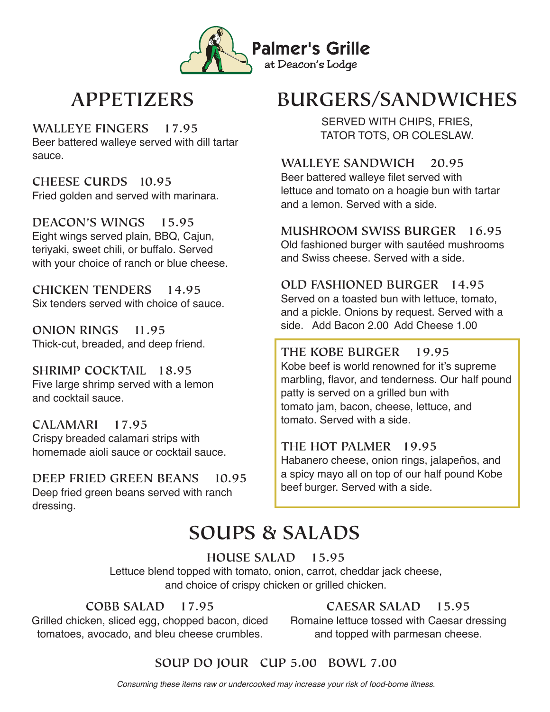

### **APPETIZERS**

SERVED WITH CHIPS, FRIES, **WALLEYE FINGERS 17.95** TATOR TOTS, OR COLESLAW. Beer battered walleye served with dill tartar sauce.

**CHEESE CURDS 10.95** Fried golden and served with marinara.

**DEACON'S WINGS 15.95** Eight wings served plain, BBQ, Cajun, teriyaki, sweet chili, or buffalo. Served with your choice of ranch or blue cheese.

**CHICKEN TENDERS 14.95** Six tenders served with choice of sauce.

**ONION RINGS 11.95** Thick-cut, breaded, and deep friend.

**SHRIMP COCKTAIL 18.95** Five large shrimp served with a lemon and cocktail sauce.

**CALAMARI 17.95** Crispy breaded calamari strips with homemade aioli sauce or cocktail sauce.

**DEEP FRIED GREEN BEANS 10.95** Deep fried green beans served with ranch dressing.

# **BURGERS/SANDWICHES**

**WALLEYE SANDWICH 20.95** Beer battered walleye filet served with lettuce and tomato on a hoagie bun with tartar and a lemon. Served with a side.

**MUSHROOM SWISS BURGER 16.95** Old fashioned burger with sautéed mushrooms

and Swiss cheese. Served with a side.

#### **OLD FASHIONED BURGER 14.95**

Served on a toasted bun with lettuce, tomato, and a pickle. Onions by request. Served with a side. Add Bacon 2.00 Add Cheese 1.00

#### **THE KOBE BURGER 19.95**

Kobe beef is world renowned for it's supreme marbling, flavor, and tenderness. Our half pound patty is served on a grilled bun with tomato jam, bacon, cheese, lettuce, and tomato. Served with a side.

#### **THE HOT PALMER 19.95**

Habanero cheese, onion rings, jalapeños, and a spicy mayo all on top of our half pound Kobe beef burger. Served with a side.

## **SOUPS & SALADS**

#### **HOUSE SALAD 15.95**

Lettuce blend topped with tomato, onion, carrot, cheddar jack cheese, and choice of crispy chicken or grilled chicken.

#### **COBB SALAD 17.95**

Grilled chicken, sliced egg, chopped bacon, diced tomatoes, avocado, and bleu cheese crumbles.

#### **CAESAR SALAD 15.95**

Romaine lettuce tossed with Caesar dressing and topped with parmesan cheese.

### **SOUP DO JOUR CUP 5.00 BOWL 7.00**